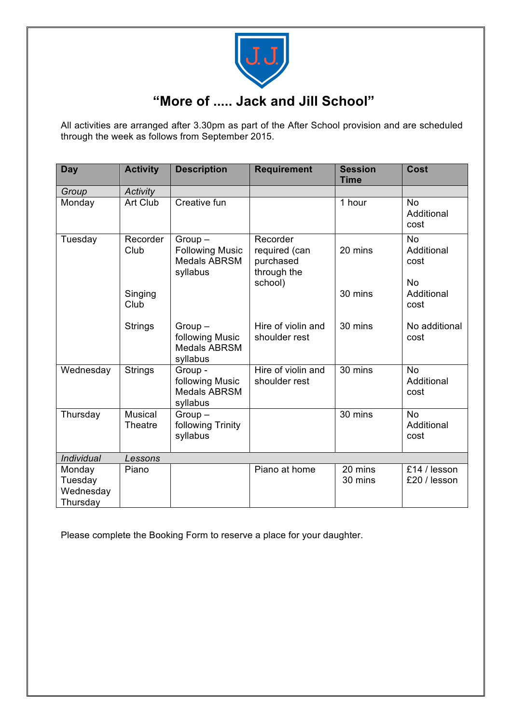

## **"More of ..... Jack and Jill School"**

All activities are arranged after 3.30pm as part of the After School provision and are scheduled through the week as follows from September 2015.

| Day                                        | <b>Activity</b>           | <b>Description</b>                                                    | <b>Requirement</b>                                               | <b>Session</b><br><b>Time</b> | Cost                                         |
|--------------------------------------------|---------------------------|-----------------------------------------------------------------------|------------------------------------------------------------------|-------------------------------|----------------------------------------------|
| Group                                      | Activity                  |                                                                       |                                                                  |                               |                                              |
| Monday                                     | Art Club                  | Creative fun                                                          |                                                                  | 1 hour                        | <b>No</b><br>Additional<br>cost              |
| Tuesday                                    | Recorder<br>Club          | $Group-$<br><b>Following Music</b><br><b>Medals ABRSM</b><br>syllabus | Recorder<br>required (can<br>purchased<br>through the<br>school) | 20 mins                       | <b>No</b><br>Additional<br>cost<br><b>No</b> |
|                                            | Singing<br>Club           |                                                                       |                                                                  | 30 mins                       | Additional<br>cost                           |
|                                            | <b>Strings</b>            | $Group-$<br>following Music<br><b>Medals ABRSM</b><br>syllabus        | Hire of violin and<br>shoulder rest                              | 30 mins                       | No additional<br>cost                        |
| Wednesday                                  | <b>Strings</b>            | Group -<br>following Music<br><b>Medals ABRSM</b><br>syllabus         | Hire of violin and<br>shoulder rest                              | 30 mins                       | <b>No</b><br>Additional<br>cost              |
| Thursday                                   | <b>Musical</b><br>Theatre | $Group-$<br>following Trinity<br>syllabus                             |                                                                  | 30 mins                       | <b>No</b><br>Additional<br>cost              |
| Individual                                 | Lessons                   |                                                                       |                                                                  |                               |                                              |
| Monday<br>Tuesday<br>Wednesday<br>Thursday | Piano                     |                                                                       | Piano at home                                                    | 20 mins<br>30 mins            | £14 / lesson<br>£20 / lesson                 |

Please complete the Booking Form to reserve a place for your daughter.